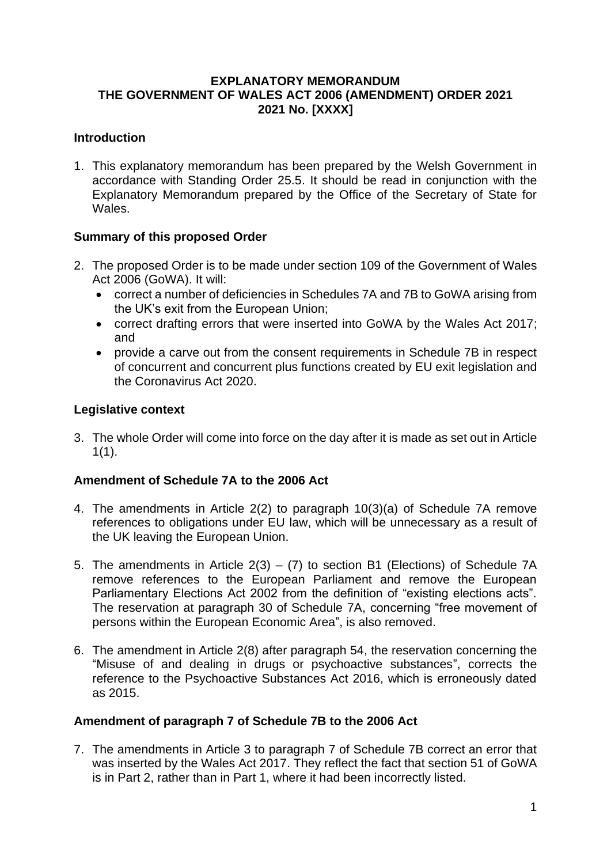## **EXPLANATORY MEMORANDUM THE GOVERNMENT OF WALES ACT 2006 (AMENDMENT) ORDER 2021 2021 No. [XXXX]**

## **Introduction**

1. This explanatory memorandum has been prepared by the Welsh Government in accordance with Standing Order 25.5. It should be read in conjunction with the Explanatory Memorandum prepared by the Office of the Secretary of State for Wales.

## **Summary of this proposed Order**

- 2. The proposed Order is to be made under section 109 of the Government of Wales Act 2006 (GoWA). It will:
	- correct a number of deficiencies in Schedules 7A and 7B to GoWA arising from the UK's exit from the European Union;
	- correct drafting errors that were inserted into GoWA by the Wales Act 2017; and
	- provide a carve out from the consent requirements in Schedule 7B in respect of concurrent and concurrent plus functions created by EU exit legislation and the Coronavirus Act 2020.

### **Legislative context**

3. The whole Order will come into force on the day after it is made as set out in Article  $1(1).$ 

### **Amendment of Schedule 7A to the 2006 Act**

- 4. The amendments in Article 2(2) to paragraph 10(3)(a) of Schedule 7A remove references to obligations under EU law, which will be unnecessary as a result of the UK leaving the European Union.
- 5. The amendments in Article  $2(3) (7)$  to section B1 (Elections) of Schedule 7A remove references to the European Parliament and remove the European Parliamentary Elections Act 2002 from the definition of "existing elections acts". The reservation at paragraph 30 of Schedule 7A, concerning "free movement of persons within the European Economic Area", is also removed.
- 6. The amendment in Article 2(8) after paragraph 54, the reservation concerning the "Misuse of and dealing in drugs or psychoactive substances", corrects the reference to the Psychoactive Substances Act 2016, which is erroneously dated as 2015.

### **Amendment of paragraph 7 of Schedule 7B to the 2006 Act**

7. The amendments in Article 3 to paragraph 7 of Schedule 7B correct an error that was inserted by the Wales Act 2017. They reflect the fact that section 51 of GoWA is in Part 2, rather than in Part 1, where it had been incorrectly listed.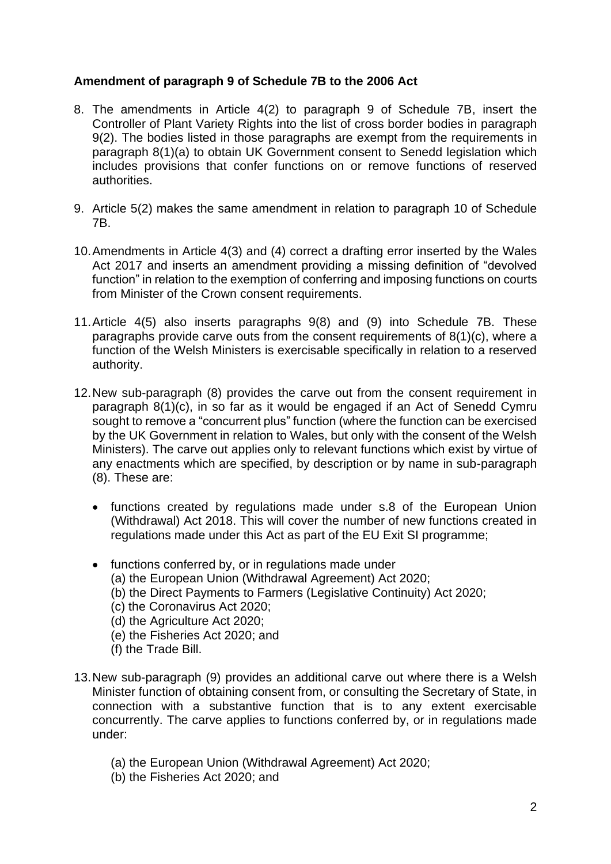## **Amendment of paragraph 9 of Schedule 7B to the 2006 Act**

- 8. The amendments in Article 4(2) to paragraph 9 of Schedule 7B, insert the Controller of Plant Variety Rights into the list of cross border bodies in paragraph 9(2). The bodies listed in those paragraphs are exempt from the requirements in paragraph 8(1)(a) to obtain UK Government consent to Senedd legislation which includes provisions that confer functions on or remove functions of reserved authorities.
- 9. Article 5(2) makes the same amendment in relation to paragraph 10 of Schedule 7B.
- 10.Amendments in Article 4(3) and (4) correct a drafting error inserted by the Wales Act 2017 and inserts an amendment providing a missing definition of "devolved function" in relation to the exemption of conferring and imposing functions on courts from Minister of the Crown consent requirements.
- 11.Article 4(5) also inserts paragraphs 9(8) and (9) into Schedule 7B. These paragraphs provide carve outs from the consent requirements of 8(1)(c), where a function of the Welsh Ministers is exercisable specifically in relation to a reserved authority.
- 12.New sub-paragraph (8) provides the carve out from the consent requirement in paragraph 8(1)(c), in so far as it would be engaged if an Act of Senedd Cymru sought to remove a "concurrent plus" function (where the function can be exercised by the UK Government in relation to Wales, but only with the consent of the Welsh Ministers). The carve out applies only to relevant functions which exist by virtue of any enactments which are specified, by description or by name in sub-paragraph (8). These are:
	- functions created by regulations made under s.8 of the European Union (Withdrawal) Act 2018. This will cover the number of new functions created in regulations made under this Act as part of the EU Exit SI programme;
	- functions conferred by, or in regulations made under
		- (a) the European Union (Withdrawal Agreement) Act 2020;
		- (b) the Direct Payments to Farmers (Legislative Continuity) Act 2020;
		- (c) the Coronavirus Act 2020;
		- (d) the Agriculture Act 2020;
		- (e) the Fisheries Act 2020; and
		- (f) the Trade Bill.
- 13.New sub-paragraph (9) provides an additional carve out where there is a Welsh Minister function of obtaining consent from, or consulting the Secretary of State, in connection with a substantive function that is to any extent exercisable concurrently. The carve applies to functions conferred by, or in regulations made under:
	- (a) the European Union (Withdrawal Agreement) Act 2020;
	- (b) the Fisheries Act 2020; and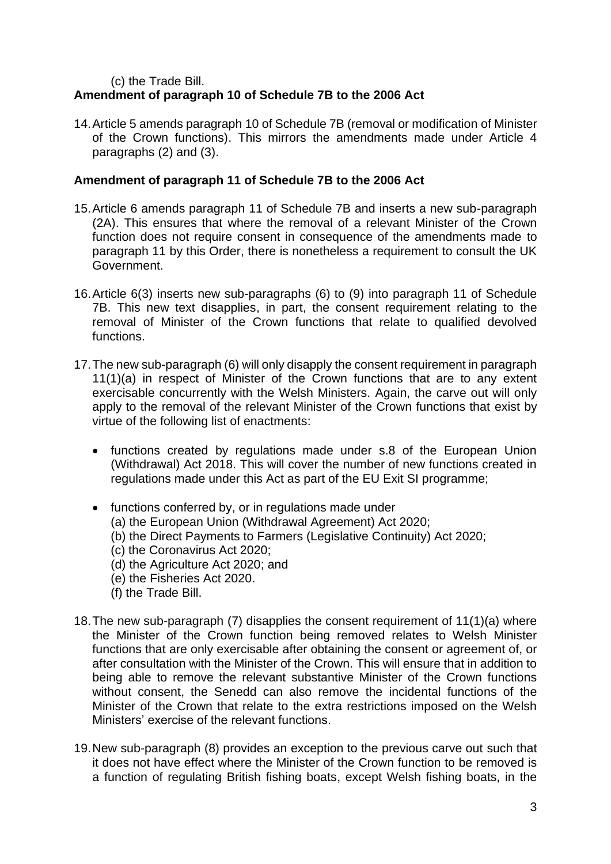(c) the Trade Bill.

# **Amendment of paragraph 10 of Schedule 7B to the 2006 Act**

14.Article 5 amends paragraph 10 of Schedule 7B (removal or modification of Minister of the Crown functions). This mirrors the amendments made under Article 4 paragraphs (2) and (3).

## **Amendment of paragraph 11 of Schedule 7B to the 2006 Act**

- 15.Article 6 amends paragraph 11 of Schedule 7B and inserts a new sub-paragraph (2A). This ensures that where the removal of a relevant Minister of the Crown function does not require consent in consequence of the amendments made to paragraph 11 by this Order, there is nonetheless a requirement to consult the UK Government.
- 16.Article 6(3) inserts new sub-paragraphs (6) to (9) into paragraph 11 of Schedule 7B. This new text disapplies, in part, the consent requirement relating to the removal of Minister of the Crown functions that relate to qualified devolved functions.
- 17.The new sub-paragraph (6) will only disapply the consent requirement in paragraph 11(1)(a) in respect of Minister of the Crown functions that are to any extent exercisable concurrently with the Welsh Ministers. Again, the carve out will only apply to the removal of the relevant Minister of the Crown functions that exist by virtue of the following list of enactments:
	- functions created by regulations made under s.8 of the European Union (Withdrawal) Act 2018. This will cover the number of new functions created in regulations made under this Act as part of the EU Exit SI programme;
	- functions conferred by, or in regulations made under
		- (a) the European Union (Withdrawal Agreement) Act 2020;
		- (b) the Direct Payments to Farmers (Legislative Continuity) Act 2020;
		- (c) the Coronavirus Act 2020;
		- (d) the Agriculture Act 2020; and
		- (e) the Fisheries Act 2020.
		- (f) the Trade Bill.
- 18.The new sub-paragraph (7) disapplies the consent requirement of 11(1)(a) where the Minister of the Crown function being removed relates to Welsh Minister functions that are only exercisable after obtaining the consent or agreement of, or after consultation with the Minister of the Crown. This will ensure that in addition to being able to remove the relevant substantive Minister of the Crown functions without consent, the Senedd can also remove the incidental functions of the Minister of the Crown that relate to the extra restrictions imposed on the Welsh Ministers' exercise of the relevant functions.
- 19.New sub-paragraph (8) provides an exception to the previous carve out such that it does not have effect where the Minister of the Crown function to be removed is a function of regulating British fishing boats, except Welsh fishing boats, in the